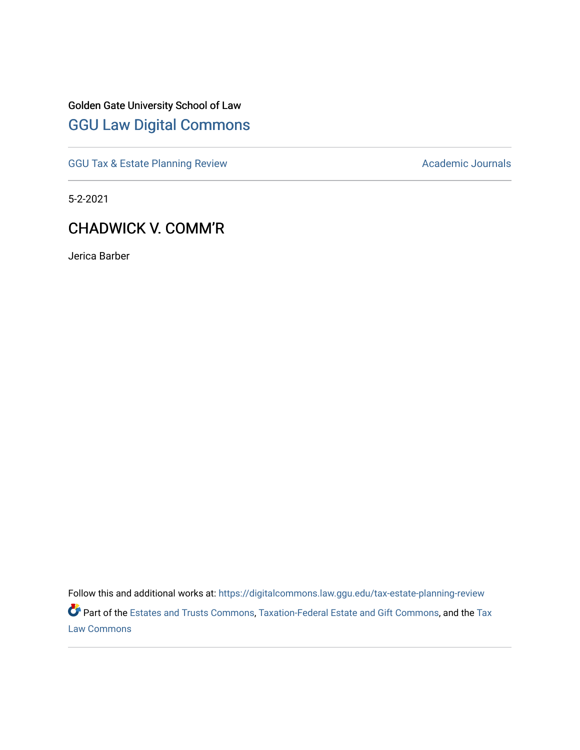## Golden Gate University School of Law [GGU Law Digital Commons](https://digitalcommons.law.ggu.edu/)

[GGU Tax & Estate Planning Review](https://digitalcommons.law.ggu.edu/tax-estate-planning-review) **Academic Journals** Academic Journals

5-2-2021

### CHADWICK V. COMM'R

Jerica Barber

Follow this and additional works at: [https://digitalcommons.law.ggu.edu/tax-estate-planning-review](https://digitalcommons.law.ggu.edu/tax-estate-planning-review?utm_source=digitalcommons.law.ggu.edu%2Ftax-estate-planning-review%2F14&utm_medium=PDF&utm_campaign=PDFCoverPages)  Part of the [Estates and Trusts Commons,](http://network.bepress.com/hgg/discipline/906?utm_source=digitalcommons.law.ggu.edu%2Ftax-estate-planning-review%2F14&utm_medium=PDF&utm_campaign=PDFCoverPages) [Taxation-Federal Estate and Gift Commons,](http://network.bepress.com/hgg/discipline/880?utm_source=digitalcommons.law.ggu.edu%2Ftax-estate-planning-review%2F14&utm_medium=PDF&utm_campaign=PDFCoverPages) and the [Tax](http://network.bepress.com/hgg/discipline/898?utm_source=digitalcommons.law.ggu.edu%2Ftax-estate-planning-review%2F14&utm_medium=PDF&utm_campaign=PDFCoverPages) [Law Commons](http://network.bepress.com/hgg/discipline/898?utm_source=digitalcommons.law.ggu.edu%2Ftax-estate-planning-review%2F14&utm_medium=PDF&utm_campaign=PDFCoverPages)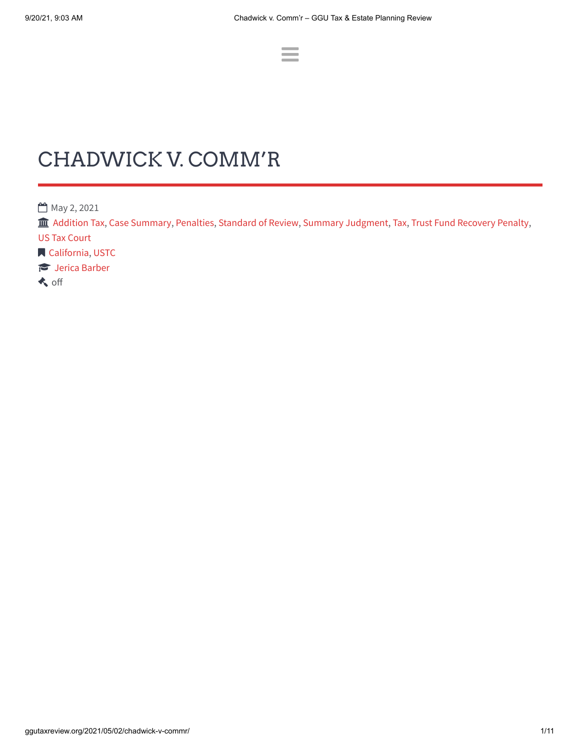# CHADWICK V. COMM'R

**May 2, 2021** 

 $\hat{m}$  [Addition](http://ggutaxreview.org/category/addition-tax/) Tax, Case [Summary,](http://ggutaxreview.org/category/case-summary/) [Penalties](http://ggutaxreview.org/category/penalties/), [Standard](http://ggutaxreview.org/category/standard-of-review/) of Review, Summary [Judgment](http://ggutaxreview.org/category/summary-judgment/), [Tax,](http://ggutaxreview.org/category/tax/) Trust Fund [Recovery](http://ggutaxreview.org/category/trust-fund-recovery-penalty/) Penalty, US Tax [Court](http://ggutaxreview.org/category/us-tax-court/)

 $\equiv$ 

**N** [California,](http://ggutaxreview.org/tag/california/) [USTC](http://ggutaxreview.org/tag/ustc/)

**Jerica [Barber](http://ggutaxreview.org/author/jericajalanegmail-com/)** 

**k** off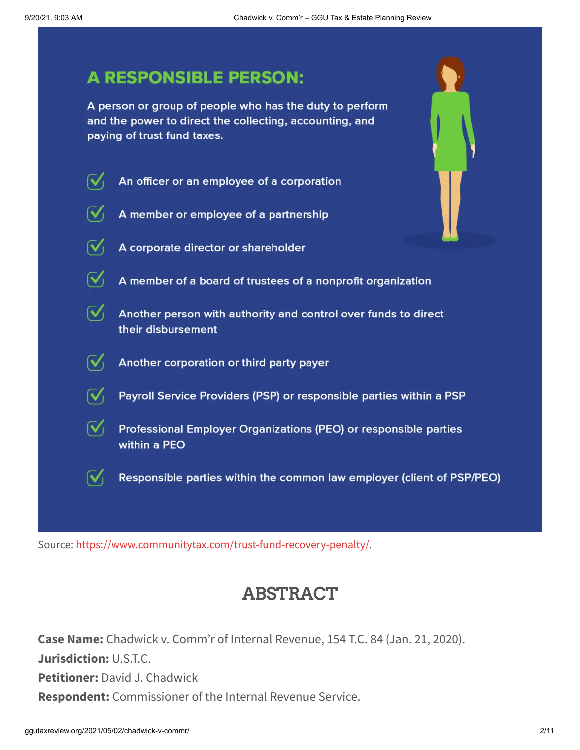### **A RESPONSIBLE PERSON:**

A person or group of people who has the duty to perform and the power to direct the collecting, accounting, and paying of trust fund taxes.



 $\mathcal{N}_1$ A member or employee of a partnership

 $\mathcal{N}_1$ 

A corporate director or shareholder

 $\sqrt{\phantom{a}}$  A member of a board of trustees of a nonprofit organization

 $\mathcal{N}_1$ Another person with authority and control over funds to direct their disbursement

 $\mathbf{V}_1$ Another corporation or third party payer

 $\mathcal{N}_1$ Payroll Service Providers (PSP) or responsible parties within a PSP

 $\mathbf{V}_1$ Professional Employer Organizations (PEO) or responsible parties within a PEO

 $\mathcal{N}_1$ Responsible parties within the common law employer (client of PSP/PEO)

Source: <https://www.communitytax.com/trust-fund-recovery-penalty/>.

## ABSTRACT

**Case Name:** Chadwick v. Comm'r of Internal Revenue, 154 T.C. 84 (Jan. 21, 2020). **Jurisdiction:** U.S.T.C. **Petitioner:** David J. Chadwick **Respondent:** Commissioner of the Internal Revenue Service.

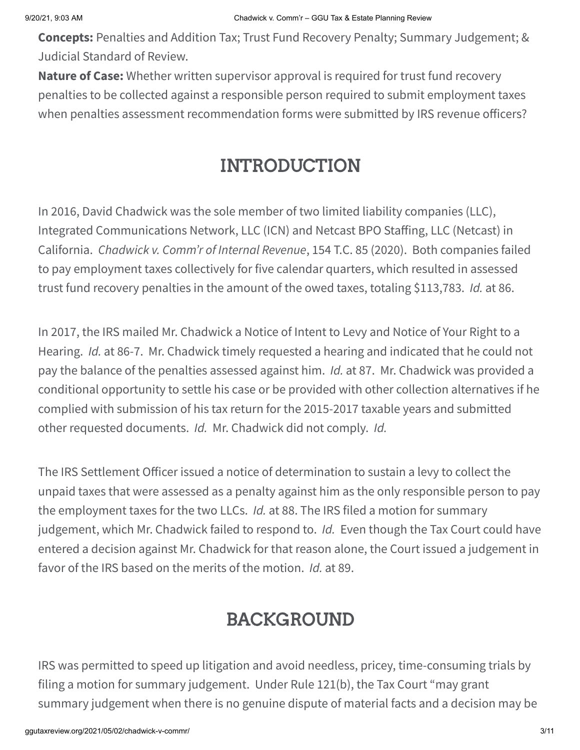**Concepts:** Penalties and Addition Tax; Trust Fund Recovery Penalty; Summary Judgement; & Judicial Standard of Review.

**Nature of Case:** Whether written supervisor approval is required for trust fund recovery penalties to be collected against a responsible person required to submit employment taxes when penalties assessment recommendation forms were submitted by IRS revenue officers?

# INTRODUCTION

In 2016, David Chadwick was the sole member of two limited liability companies (LLC), Integrated Communications Network, LLC (ICN) and Netcast BPO Staffing, LLC (Netcast) in California. *Chadwick v. Comm'r of Internal Revenue*, 154 T.C. 85 (2020). Both companies failed to pay employment taxes collectively for five calendar quarters, which resulted in assessed trust fund recovery penalties in the amount of the owed taxes, totaling \$113,783. *Id.* at 86.

In 2017, the IRS mailed Mr. Chadwick a Notice of Intent to Levy and Notice of Your Right to a Hearing. *Id.* at 86-7. Mr. Chadwick timely requested a hearing and indicated that he could not pay the balance of the penalties assessed against him. *Id.* at 87. Mr. Chadwick was provided a conditional opportunity to settle his case or be provided with other collection alternatives if he complied with submission of his tax return for the 2015-2017 taxable years and submitted other requested documents. *Id.* Mr. Chadwick did not comply. *Id.*

The IRS Settlement Officer issued a notice of determination to sustain a levy to collect the unpaid taxes that were assessed as a penalty against him as the only responsible person to pay the employment taxes for the two LLCs. *Id.* at 88. The IRS filed a motion for summary judgement, which Mr. Chadwick failed to respond to. *Id.* Even though the Tax Court could have entered a decision against Mr. Chadwick for that reason alone, the Court issued a judgement in favor of the IRS based on the merits of the motion. *Id.* at 89.

# BACKGROUND

IRS was permitted to speed up litigation and avoid needless, pricey, time-consuming trials by filing a motion for summary judgement. Under Rule 121(b), the Tax Court "may grant summary judgement when there is no genuine dispute of material facts and a decision may be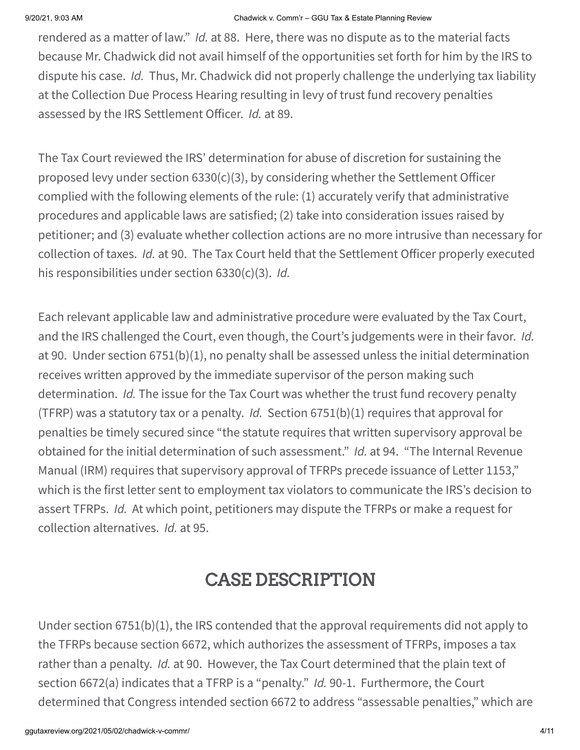#### 9/20/21, 9:03 AM Chadwick v. Comm'r – GGU Tax & Estate Planning Review

rendered as a matter of law." *Id.* at 88. Here, there was no dispute as to the material facts because Mr. Chadwick did not avail himself of the opportunities set forth for him by the IRS to dispute his case. *Id.* Thus, Mr. Chadwick did not properly challenge the underlying tax liability at the Collection Due Process Hearing resulting in levy of trust fund recovery penalties assessed by the IRS Settlement Officer. *Id.* at 89.

The Tax Court reviewed the IRS' determination for abuse of discretion for sustaining the proposed levy under section 6330(c)(3), by considering whether the Settlement Officer complied with the following elements of the rule: (1) accurately verify that administrative procedures and applicable laws are satisfied; (2) take into consideration issues raised by petitioner; and (3) evaluate whether collection actions are no more intrusive than necessary for collection of taxes. *Id.* at 90. The Tax Court held that the Settlement Officer properly executed his responsibilities under section 6330(c)(3). *Id.*

Each relevant applicable law and administrative procedure were evaluated by the Tax Court, and the IRS challenged the Court, even though, the Court's judgements were in their favor. *Id.* at 90. Under section 6751(b)(1), no penalty shall be assessed unless the initial determination receives written approved by the immediate supervisor of the person making such determination. *Id.* The issue for the Tax Court was whether the trust fund recovery penalty (TFRP) was a statutory tax or a penalty. *Id.* Section 6751(b)(1) requires that approval for penalties be timely secured since "the statute requires that written supervisory approval be obtained for the initial determination of such assessment." *Id.* at 94. "The Internal Revenue Manual (IRM) requires that supervisory approval of TFRPs precede issuance of Letter 1153," which is the first letter sent to employment tax violators to communicate the IRS's decision to assert TFRPs. *Id.* At which point, petitioners may dispute the TFRPs or make a request for collection alternatives. *Id.* at 95.

# CASE DESCRIPTION

Under section 6751(b)(1), the IRS contended that the approval requirements did not apply to the TFRPs because section 6672, which authorizes the assessment of TFRPs, imposes a tax rather than a penalty. *Id.* at 90. However, the Tax Court determined that the plain text of section 6672(a) indicates that a TFRP is a "penalty." *Id.* 90-1. Furthermore, the Court determined that Congress intended section 6672 to address "assessable penalties," which are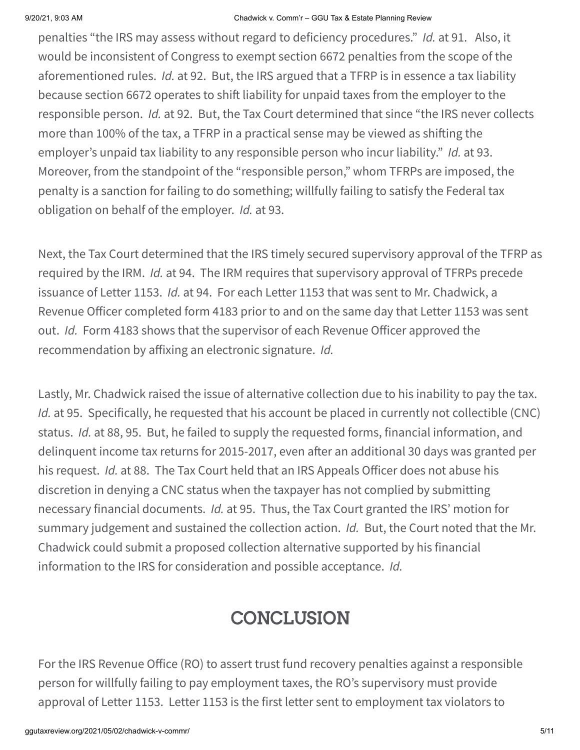#### 9/20/21, 9:03 AM Chadwick v. Comm'r – GGU Tax & Estate Planning Review

penalties "the IRS may assess without regard to deficiency procedures." *Id.* at 91. Also, it would be inconsistent of Congress to exempt section 6672 penalties from the scope of the aforementioned rules. *Id.* at 92. But, the IRS argued that a TFRP is in essence a tax liability because section 6672 operates to shift liability for unpaid taxes from the employer to the responsible person. *Id.* at 92. But, the Tax Court determined that since "the IRS never collects more than 100% of the tax, a TFRP in a practical sense may be viewed as shifting the employer's unpaid tax liability to any responsible person who incur liability." *Id.* at 93. Moreover, from the standpoint of the "responsible person," whom TFRPs are imposed, the penalty is a sanction for failing to do something; willfully failing to satisfy the Federal tax obligation on behalf of the employer. *Id.* at 93.

Next, the Tax Court determined that the IRS timely secured supervisory approval of the TFRP as required by the IRM. *Id.* at 94. The IRM requires that supervisory approval of TFRPs precede issuance of Letter 1153. *Id.* at 94. For each Letter 1153 that was sent to Mr. Chadwick, a Revenue Officer completed form 4183 prior to and on the same day that Letter 1153 was sent out. *Id.* Form 4183 shows that the supervisor of each Revenue Officer approved the recommendation by affixing an electronic signature. *Id.*

Lastly, Mr. Chadwick raised the issue of alternative collection due to his inability to pay the tax. *Id.* at 95. Specifically, he requested that his account be placed in currently not collectible (CNC) status. *Id.* at 88, 95. But, he failed to supply the requested forms, financial information, and delinquent income tax returns for 2015-2017, even after an additional 30 days was granted per his request. *Id.* at 88. The Tax Court held that an IRS Appeals Officer does not abuse his discretion in denying a CNC status when the taxpayer has not complied by submitting necessary financial documents. *Id.* at 95. Thus, the Tax Court granted the IRS' motion for summary judgement and sustained the collection action. *Id.* But, the Court noted that the Mr. Chadwick could submit a proposed collection alternative supported by his financial information to the IRS for consideration and possible acceptance. *Id.*

# **CONCLUSION**

For the IRS Revenue Office (RO) to assert trust fund recovery penalties against a responsible person for willfully failing to pay employment taxes, the RO's supervisory must provide approval of Letter 1153. Letter 1153 is the first letter sent to employment tax violators to